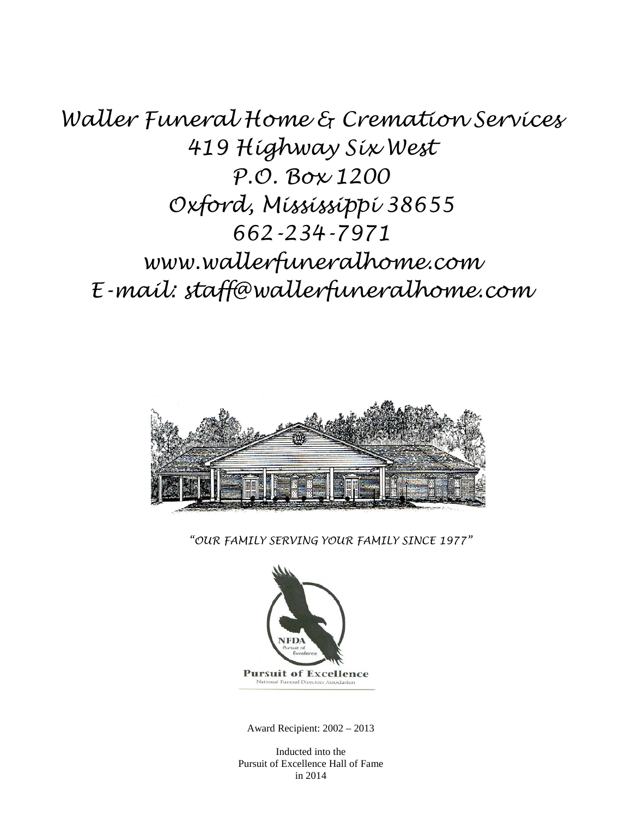*Waller Funeral Home & Cremation Services 419 Highway Six West P.O. Box 1200 Oxford, Mississippi 38655 662-234-7971 www.wallerfuneralhome.com E-mail: staff@wallerfuneralhome.com*



*"OUR FAMILY SERVING YOUR FAMILY SINCE 1977"*



Award Recipient: 2002 – 2013

Inducted into the Pursuit of Excellence Hall of Fame in 2014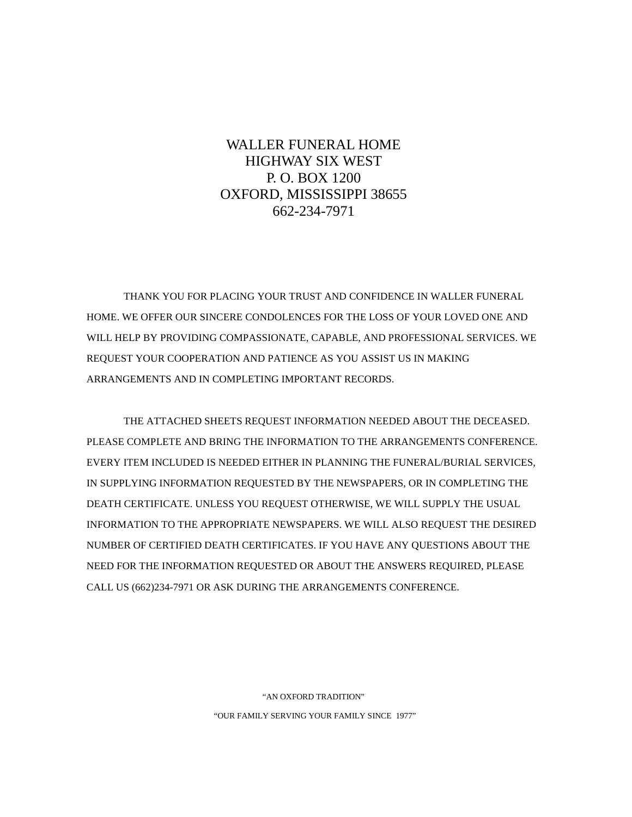# WALLER FUNERAL HOME HIGHWAY SIX WEST P. O. BOX 1200 OXFORD, MISSISSIPPI 38655 662-234-7971

THANK YOU FOR PLACING YOUR TRUST AND CONFIDENCE IN WALLER FUNERAL HOME. WE OFFER OUR SINCERE CONDOLENCES FOR THE LOSS OF YOUR LOVED ONE AND WILL HELP BY PROVIDING COMPASSIONATE, CAPABLE, AND PROFESSIONAL SERVICES. WE REQUEST YOUR COOPERATION AND PATIENCE AS YOU ASSIST US IN MAKING ARRANGEMENTS AND IN COMPLETING IMPORTANT RECORDS.

THE ATTACHED SHEETS REQUEST INFORMATION NEEDED ABOUT THE DECEASED. PLEASE COMPLETE AND BRING THE INFORMATION TO THE ARRANGEMENTS CONFERENCE. EVERY ITEM INCLUDED IS NEEDED EITHER IN PLANNING THE FUNERAL/BURIAL SERVICES, IN SUPPLYING INFORMATION REQUESTED BY THE NEWSPAPERS, OR IN COMPLETING THE DEATH CERTIFICATE. UNLESS YOU REQUEST OTHERWISE, WE WILL SUPPLY THE USUAL INFORMATION TO THE APPROPRIATE NEWSPAPERS. WE WILL ALSO REQUEST THE DESIRED NUMBER OF CERTIFIED DEATH CERTIFICATES. IF YOU HAVE ANY QUESTIONS ABOUT THE NEED FOR THE INFORMATION REQUESTED OR ABOUT THE ANSWERS REQUIRED, PLEASE CALL US (662)234-7971 OR ASK DURING THE ARRANGEMENTS CONFERENCE.

> "AN OXFORD TRADITION" "OUR FAMILY SERVING YOUR FAMILY SINCE 1977"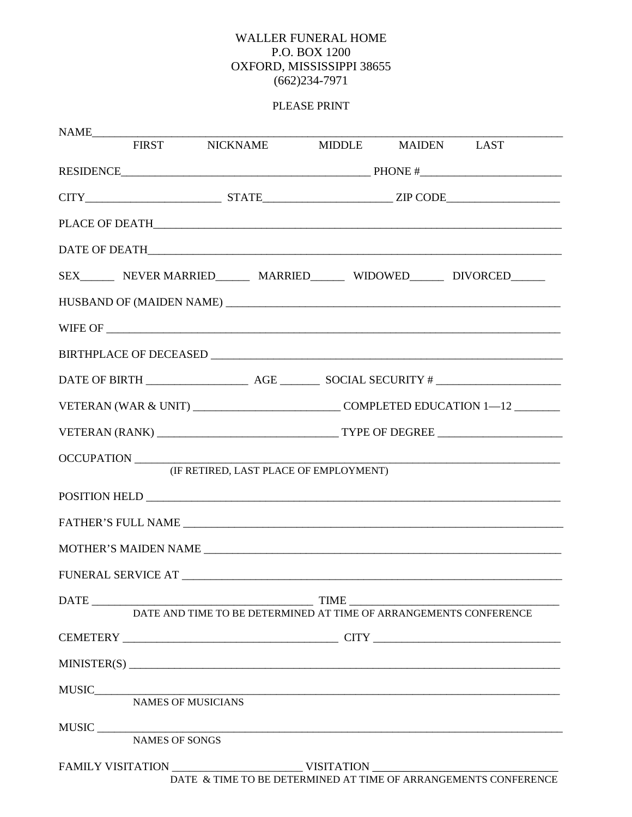### WALLER FUNERAL HOME P.O. BOX 1200 OXFORD, MISSISSIPPI 38655  $(662)234-7971$

## PLEASE PRINT

|                                                                 |            | FIRST NICKNAME MIDDLE MAIDEN LAST |  |  |                                                                                                                                                                        |  |
|-----------------------------------------------------------------|------------|-----------------------------------|--|--|------------------------------------------------------------------------------------------------------------------------------------------------------------------------|--|
|                                                                 |            |                                   |  |  |                                                                                                                                                                        |  |
|                                                                 |            |                                   |  |  |                                                                                                                                                                        |  |
|                                                                 |            |                                   |  |  |                                                                                                                                                                        |  |
|                                                                 |            |                                   |  |  |                                                                                                                                                                        |  |
|                                                                 |            |                                   |  |  |                                                                                                                                                                        |  |
|                                                                 |            |                                   |  |  |                                                                                                                                                                        |  |
|                                                                 |            |                                   |  |  |                                                                                                                                                                        |  |
|                                                                 |            |                                   |  |  |                                                                                                                                                                        |  |
|                                                                 |            |                                   |  |  |                                                                                                                                                                        |  |
|                                                                 |            |                                   |  |  |                                                                                                                                                                        |  |
|                                                                 |            |                                   |  |  |                                                                                                                                                                        |  |
|                                                                 | OCCUPATION |                                   |  |  |                                                                                                                                                                        |  |
| (IF RETIRED, LAST PLACE OF EMPLOYMENT)                          |            |                                   |  |  |                                                                                                                                                                        |  |
|                                                                 |            |                                   |  |  |                                                                                                                                                                        |  |
|                                                                 |            |                                   |  |  | FATHER'S FULL NAME <b>All ACCEPTS</b>                                                                                                                                  |  |
|                                                                 |            |                                   |  |  |                                                                                                                                                                        |  |
|                                                                 |            |                                   |  |  |                                                                                                                                                                        |  |
|                                                                 |            |                                   |  |  | $\begin{tabular}{c} DATE & \textcolor{red}{\bf{TIME}} \\ \hline \textcolor{red}{\bf{DATE} and TIME TO BE DETERMINED AT TIME OF ARRANGEMENTS CONFERENCE} \end{tabular}$ |  |
|                                                                 |            |                                   |  |  |                                                                                                                                                                        |  |
|                                                                 |            |                                   |  |  |                                                                                                                                                                        |  |
|                                                                 |            |                                   |  |  | MINISTER(S)                                                                                                                                                            |  |
|                                                                 |            |                                   |  |  |                                                                                                                                                                        |  |
|                                                                 |            |                                   |  |  |                                                                                                                                                                        |  |
|                                                                 |            |                                   |  |  | MUSIC NAMES OF SONGS                                                                                                                                                   |  |
| DATE & TIME TO BE DETERMINED AT TIME OF ARRANGEMENTS CONFERENCE |            |                                   |  |  |                                                                                                                                                                        |  |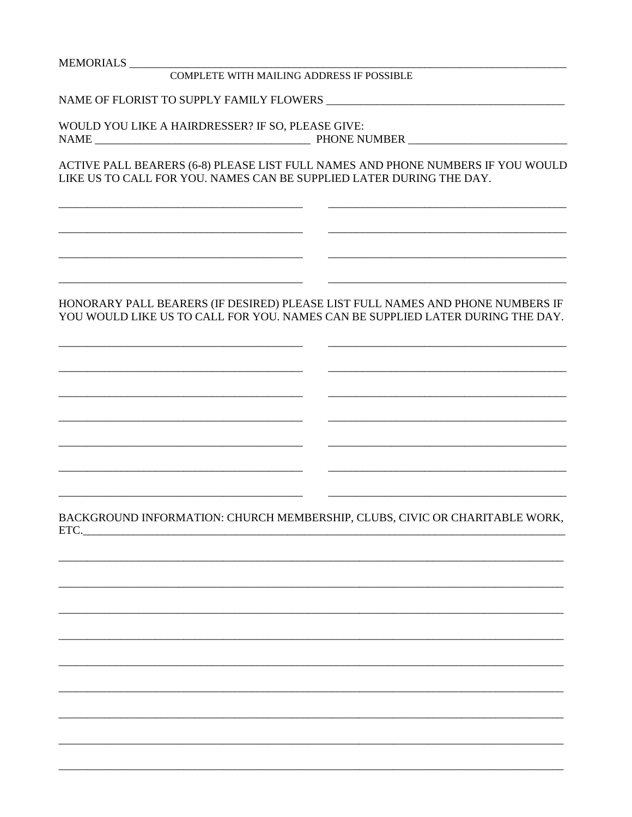#### MEMORIALS

#### COMPLETE WITH MAILING ADDRESS IF POSSIBLE

NAME OF FLORIST TO SUPPLY FAMILY FLOWERS

WOULD YOU LIKE A HAIRDRESSER? IF SO, PLEASE GIVE:

ACTIVE PALL BEARERS (6-8) PLEASE LIST FULL NAMES AND PHONE NUMBERS IF YOU WOULD LIKE US TO CALL FOR YOU. NAMES CAN BE SUPPLIED LATER DURING THE DAY.

#### HONORARY PALL BEARERS (IF DESIRED) PLEASE LIST FULL NAMES AND PHONE NUMBERS IF YOU WOULD LIKE US TO CALL FOR YOU. NAMES CAN BE SUPPLIED LATER DURING THE DAY.

BACKGROUND INFORMATION: CHURCH MEMBERSHIP, CLUBS, CIVIC OR CHARITABLE WORK,  $ETC.$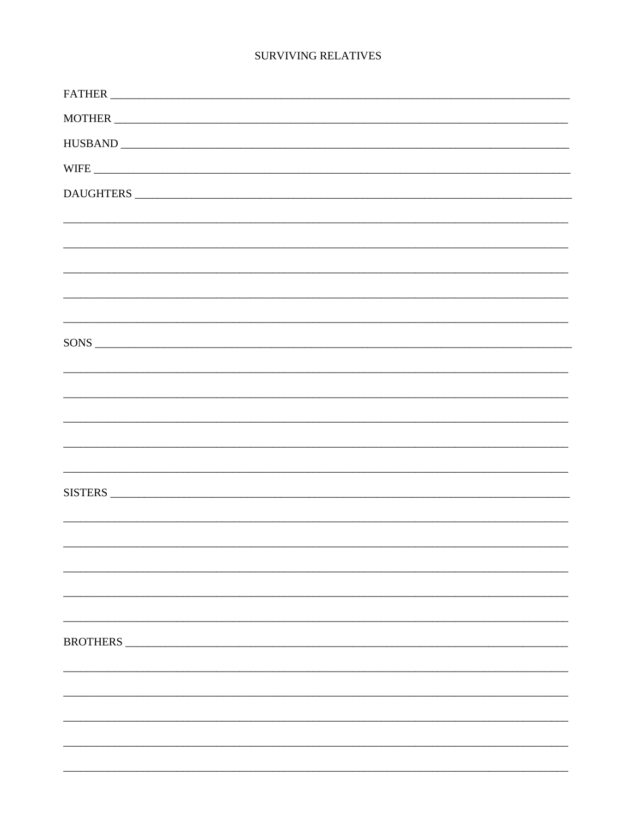#### **SURVIVING RELATIVES**

| DAUGHTERS                                                                        |
|----------------------------------------------------------------------------------|
|                                                                                  |
|                                                                                  |
|                                                                                  |
|                                                                                  |
| ,我们也不能在这里的,我们也不能不能不能不能不能不能不能不能不能不能不能不能不能不能不能不能不能。""我们的是我们的,我们也不能不能不能不能不能不能不能不能不能 |
| SONS                                                                             |
|                                                                                  |
|                                                                                  |
|                                                                                  |
|                                                                                  |
|                                                                                  |
| SISTERS                                                                          |
|                                                                                  |
|                                                                                  |
|                                                                                  |
|                                                                                  |
|                                                                                  |
| <b>BROTHERS</b>                                                                  |
|                                                                                  |
|                                                                                  |
|                                                                                  |
|                                                                                  |
|                                                                                  |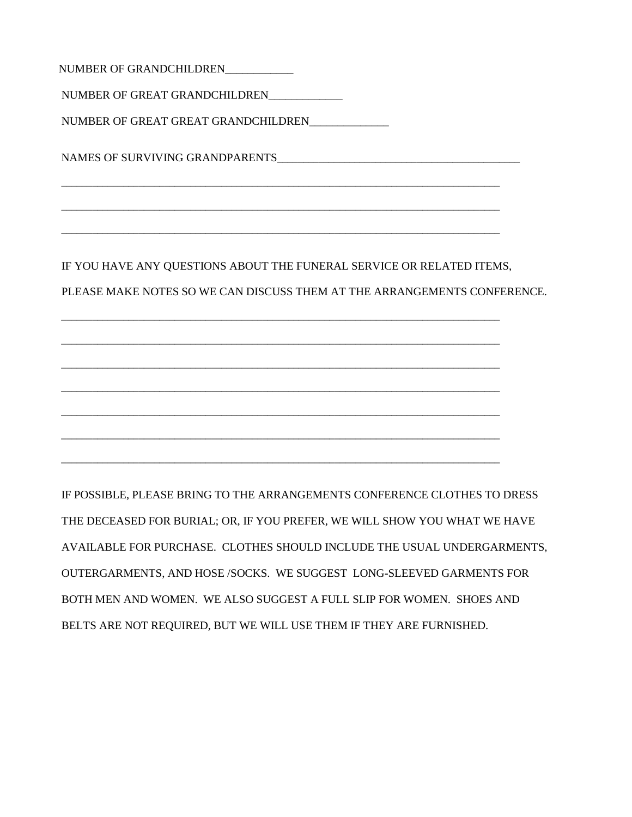NUMBER OF GRANDCHILDREN\_\_\_\_\_\_\_\_\_\_\_\_ NUMBER OF GREAT GRANDCHILDREN\_\_\_\_\_\_\_\_\_\_\_\_\_ NUMBER OF GREAT GREAT GRANDCHILDREN\_\_\_\_\_\_\_\_\_\_\_\_\_\_ NAMES OF SURVIVING GRANDPARENTS\_\_\_\_\_\_\_\_\_\_\_\_\_\_\_\_\_\_\_\_\_\_\_\_\_\_\_\_\_\_\_\_\_\_\_\_\_\_\_\_\_\_\_\_\_\_\_ \_\_\_\_\_\_\_\_\_\_\_\_\_\_\_\_\_\_\_\_\_\_\_\_\_\_\_\_\_\_\_\_\_\_\_\_\_\_\_\_\_\_\_\_\_\_\_\_\_\_\_\_\_\_\_\_\_\_\_\_\_\_\_\_\_\_\_\_\_\_\_\_\_\_\_\_\_\_\_\_\_\_\_\_\_ \_\_\_\_\_\_\_\_\_\_\_\_\_\_\_\_\_\_\_\_\_\_\_\_\_\_\_\_\_\_\_\_\_\_\_\_\_\_\_\_\_\_\_\_\_\_\_\_\_\_\_\_\_\_\_\_\_\_\_\_\_\_\_\_\_\_\_\_\_\_\_\_\_\_\_\_\_\_\_\_\_\_\_\_\_ \_\_\_\_\_\_\_\_\_\_\_\_\_\_\_\_\_\_\_\_\_\_\_\_\_\_\_\_\_\_\_\_\_\_\_\_\_\_\_\_\_\_\_\_\_\_\_\_\_\_\_\_\_\_\_\_\_\_\_\_\_\_\_\_\_\_\_\_\_\_\_\_\_\_\_\_\_\_\_\_\_\_\_\_\_ IF YOU HAVE ANY QUESTIONS ABOUT THE FUNERAL SERVICE OR RELATED ITEMS, PLEASE MAKE NOTES SO WE CAN DISCUSS THEM AT THE ARRANGEMENTS CONFERENCE. \_\_\_\_\_\_\_\_\_\_\_\_\_\_\_\_\_\_\_\_\_\_\_\_\_\_\_\_\_\_\_\_\_\_\_\_\_\_\_\_\_\_\_\_\_\_\_\_\_\_\_\_\_\_\_\_\_\_\_\_\_\_\_\_\_\_\_\_\_\_\_\_\_\_\_\_\_\_\_\_\_\_\_\_\_ \_\_\_\_\_\_\_\_\_\_\_\_\_\_\_\_\_\_\_\_\_\_\_\_\_\_\_\_\_\_\_\_\_\_\_\_\_\_\_\_\_\_\_\_\_\_\_\_\_\_\_\_\_\_\_\_\_\_\_\_\_\_\_\_\_\_\_\_\_\_\_\_\_\_\_\_\_\_\_\_\_\_\_\_\_

\_\_\_\_\_\_\_\_\_\_\_\_\_\_\_\_\_\_\_\_\_\_\_\_\_\_\_\_\_\_\_\_\_\_\_\_\_\_\_\_\_\_\_\_\_\_\_\_\_\_\_\_\_\_\_\_\_\_\_\_\_\_\_\_\_\_\_\_\_\_\_\_\_\_\_\_\_\_\_\_\_\_\_\_\_

\_\_\_\_\_\_\_\_\_\_\_\_\_\_\_\_\_\_\_\_\_\_\_\_\_\_\_\_\_\_\_\_\_\_\_\_\_\_\_\_\_\_\_\_\_\_\_\_\_\_\_\_\_\_\_\_\_\_\_\_\_\_\_\_\_\_\_\_\_\_\_\_\_\_\_\_\_\_\_\_\_\_\_\_\_

\_\_\_\_\_\_\_\_\_\_\_\_\_\_\_\_\_\_\_\_\_\_\_\_\_\_\_\_\_\_\_\_\_\_\_\_\_\_\_\_\_\_\_\_\_\_\_\_\_\_\_\_\_\_\_\_\_\_\_\_\_\_\_\_\_\_\_\_\_\_\_\_\_\_\_\_\_\_\_\_\_\_\_\_\_

\_\_\_\_\_\_\_\_\_\_\_\_\_\_\_\_\_\_\_\_\_\_\_\_\_\_\_\_\_\_\_\_\_\_\_\_\_\_\_\_\_\_\_\_\_\_\_\_\_\_\_\_\_\_\_\_\_\_\_\_\_\_\_\_\_\_\_\_\_\_\_\_\_\_\_\_\_\_\_\_\_\_\_\_\_

\_\_\_\_\_\_\_\_\_\_\_\_\_\_\_\_\_\_\_\_\_\_\_\_\_\_\_\_\_\_\_\_\_\_\_\_\_\_\_\_\_\_\_\_\_\_\_\_\_\_\_\_\_\_\_\_\_\_\_\_\_\_\_\_\_\_\_\_\_\_\_\_\_\_\_\_\_\_\_\_\_\_\_\_\_

IF POSSIBLE, PLEASE BRING TO THE ARRANGEMENTS CONFERENCE CLOTHES TO DRESS THE DECEASED FOR BURIAL; OR, IF YOU PREFER, WE WILL SHOW YOU WHAT WE HAVE AVAILABLE FOR PURCHASE. CLOTHES SHOULD INCLUDE THE USUAL UNDERGARMENTS, OUTERGARMENTS, AND HOSE /SOCKS. WE SUGGEST LONG-SLEEVED GARMENTS FOR BOTH MEN AND WOMEN. WE ALSO SUGGEST A FULL SLIP FOR WOMEN. SHOES AND BELTS ARE NOT REQUIRED, BUT WE WILL USE THEM IF THEY ARE FURNISHED.